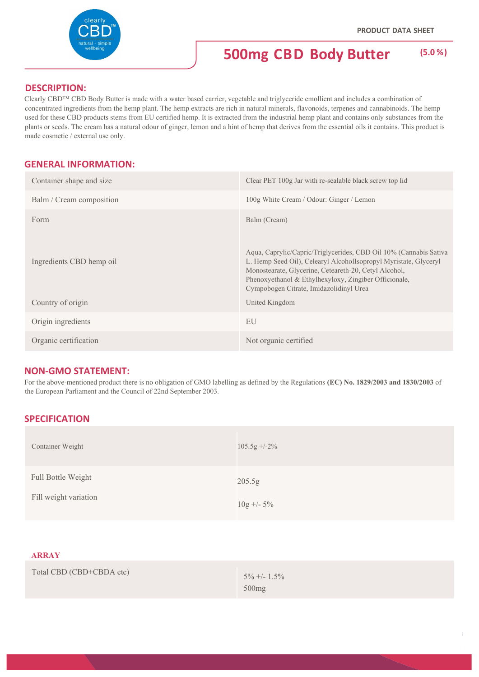### **DESCRIPTION:**

Clearly CBD™ CBD Body Butter is made with a water based carrier, vegetable and triglyceride emollient and includes a combination of concentrated ingredients from the hemp plant. The hemp extracts are rich in natural minerals, flavonoids, terpenes and cannabinoids. The hemp used for these CBD products stems from EU certified hemp. It is extracted from the industrial hemp plant and contains only substances from the plants or seeds. The cream has a natural odour of ginger, lemon and a hint of hemp that derives from the essential oils it contains. This product is made cosmetic / external use only.

## **GENERAL INFORMATION:**

| Container shape and size | Clear PET 100g Jar with re-sealable black screw top lid                                                                                                                                                                                                                                            |
|--------------------------|----------------------------------------------------------------------------------------------------------------------------------------------------------------------------------------------------------------------------------------------------------------------------------------------------|
| Balm / Cream composition | 100g White Cream / Odour: Ginger / Lemon                                                                                                                                                                                                                                                           |
| Form                     | Balm (Cream)                                                                                                                                                                                                                                                                                       |
| Ingredients CBD hemp oil | Aqua, Caprylic/Capric/Triglycerides, CBD Oil 10% (Cannabis Sativa<br>L. Hemp Seed Oil), Celearyl AlcoholIsopropyl Myristate, Glyceryl<br>Monostearate, Glycerine, Ceteareth-20, Cetyl Alcohol,<br>Phenoxyethanol & Ethylhexyloxy, Zingiber Officionale,<br>Cympobogen Citrate, Imidazolidinyl Urea |
| Country of origin        | United Kingdom                                                                                                                                                                                                                                                                                     |
| Origin ingredients       | EU                                                                                                                                                                                                                                                                                                 |
| Organic certification    | Not organic certified                                                                                                                                                                                                                                                                              |
|                          |                                                                                                                                                                                                                                                                                                    |

### **NON‐GMO STATEMENT:**

For the above-mentioned product there is no obligation of GMO labelling as defined by the Regulations **(EC) No. 1829/2003 and 1830/2003** of the European Parliament and the Council of 22nd September 2003.

# **SPECIFICATION**

| Container Weight                            | $105.5g + -2\%$                   |
|---------------------------------------------|-----------------------------------|
| Full Bottle Weight<br>Fill weight variation | 205.5g<br>$10g + -5\%$            |
| <b>ARRAY</b>                                |                                   |
| Total CBD (CBD+CBDA etc)                    | $5\% +1.5\%$<br>500 <sub>mg</sub> |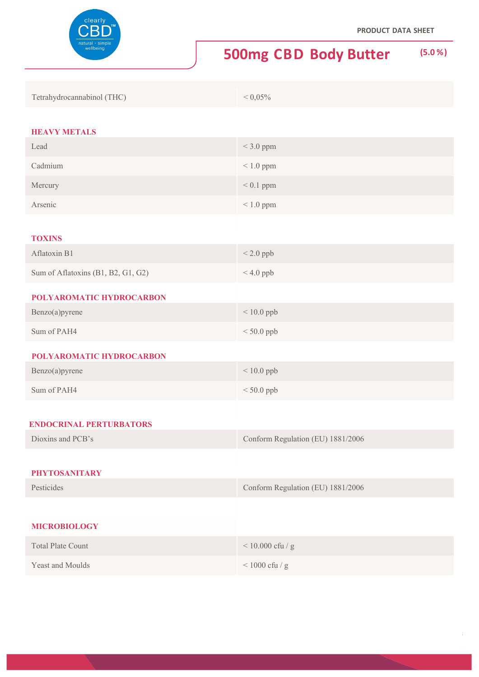

| Tetrahydrocannabinol (THC) | $< 0.05\%$ |
|----------------------------|------------|
|----------------------------|------------|

#### **HEAVY METALS**

| Lead                               | $<$ 3.0 ppm                       |
|------------------------------------|-----------------------------------|
| Cadmium                            | $< 1.0$ ppm                       |
| Mercury                            | $< 0.1$ ppm                       |
| Arsenic                            | $< 1.0$ ppm                       |
|                                    |                                   |
| <b>TOXINS</b>                      |                                   |
| Aflatoxin B1                       | $< 2.0$ ppb                       |
| Sum of Aflatoxins (B1, B2, G1, G2) | $< 4.0$ ppb                       |
| POLYAROMATIC HYDROCARBON           |                                   |
| Benzo(a)pyrene                     | $< 10.0$ ppb                      |
| Sum of PAH4                        | $< 50.0$ ppb                      |
| POLYAROMATIC HYDROCARBON           |                                   |
| Benzo(a)pyrene                     | $< 10.0$ ppb                      |
| Sum of PAH4                        | $< 50.0$ ppb                      |
|                                    |                                   |
| <b>ENDOCRINAL PERTURBATORS</b>     |                                   |
| Dioxins and PCB's                  | Conform Regulation (EU) 1881/2006 |
|                                    |                                   |
| <b>PHYTOSANITARY</b>               |                                   |
| Pesticides                         | Conform Regulation (EU) 1881/2006 |
|                                    |                                   |
| <b>MICROBIOLOGY</b>                |                                   |
| <b>Total Plate Count</b>           | $<$ 10.000 cfu / g                |
| Yeast and Moulds                   | $<1000$ cfu / g                   |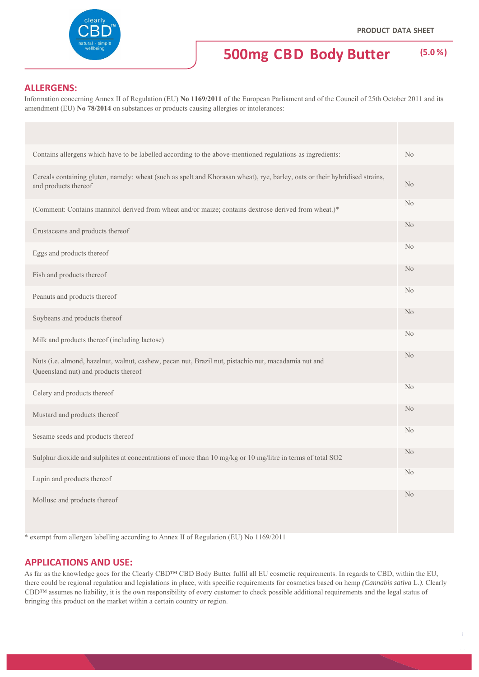

#### **ALLERGENS:**

Information concerning Annex II of Regulation (EU) **No 1169/2011** of the European Parliament and of the Council of 25th October 2011 and its amendment (EU) **No 78/2014** on substances or products causing allergies or intolerances:

| Contains allergens which have to be labelled according to the above-mentioned regulations as ingredients:                                           | No             |
|-----------------------------------------------------------------------------------------------------------------------------------------------------|----------------|
| Cereals containing gluten, namely: wheat (such as spelt and Khorasan wheat), rye, barley, oats or their hybridised strains,<br>and products thereof | N <sub>o</sub> |
| (Comment: Contains mannitol derived from wheat and/or maize; contains dextrose derived from wheat.)*                                                | N <sub>o</sub> |
| Crustaceans and products thereof                                                                                                                    | N <sub>o</sub> |
| Eggs and products thereof                                                                                                                           | N <sub>o</sub> |
| Fish and products thereof                                                                                                                           | N <sub>o</sub> |
| Peanuts and products thereof                                                                                                                        | No             |
| Soybeans and products thereof                                                                                                                       | N <sub>o</sub> |
| Milk and products thereof (including lactose)                                                                                                       | N <sub>o</sub> |
| Nuts (i.e. almond, hazelnut, walnut, cashew, pecan nut, Brazil nut, pistachio nut, macadamia nut and<br>Queensland nut) and products thereof        | N <sub>o</sub> |
| Celery and products thereof                                                                                                                         | N <sub>o</sub> |
| Mustard and products thereof                                                                                                                        | N <sub>o</sub> |
| Sesame seeds and products thereof                                                                                                                   | N <sub>o</sub> |
| Sulphur dioxide and sulphites at concentrations of more than 10 mg/kg or 10 mg/litre in terms of total SO2                                          | N <sub>o</sub> |
| Lupin and products thereof                                                                                                                          | N <sub>o</sub> |
| Mollusc and products thereof                                                                                                                        | N <sub>o</sub> |

\* exempt from allergen labelling according to Annex II of Regulation (EU) No 1169/2011

#### **APPLICATIONS AND USE:**

As far as the knowledge goes for the Clearly CBD™ CBD Body Butter fulfil all EU cosmetic requirements. In regards to CBD, within the EU, there could be regional regulation and legislations in place, with specific requirements for cosmetics based on hemp *(Cannabis sativa* L.*).* Clearly CBD™ assumes no liability, it is the own responsibility of every customer to check possible additional requirements and the legal status of bringing this product on the market within a certain country or region.